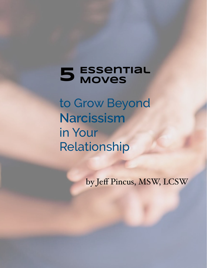# **Essential 5 Moves**

to Grow Beyond **Narcissism**  in Your Relationship

by Jeff Pincus, MSW, LCSW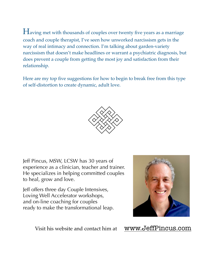Having met with thousands of couples over twenty five years as a marriage coach and couple therapist, I've seen how unworked narcissism gets in the way of real intimacy and connection. I'm talking about garden-variety narcissism that doesn't make headlines or warrant a psychiatric diagnosis, but does prevent a couple from getting the most joy and satisfaction from their relationship.

Here are my top five suggestions for how to begin to break free from this type of self-distortion to create dynamic, adult love.



Jeff Pincus, MSW, LCSW has 30 years of experience as a clinician, teacher and trainer. He specializes in helping committed couples to heal, grow and love.

Jeff offers three day Couple Intensives, Loving Well Accelerator workshops, and on-line coaching for couples ready to make the transformational leap.



Visit his website and contact him at [www.JeffPincus.com](http://www.jeffpincus.com)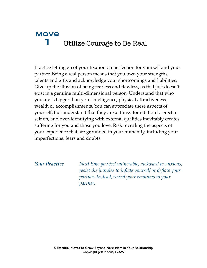## **Move 1** Utilize Courage to Be Real

Practice letting go of your fixation on perfection for yourself and your partner. Being a real person means that you own your strengths, talents and gifts and acknowledge your shortcomings and liabilities. Give up the illusion of being fearless and flawless, as that just doesn't exist in a genuine multi-dimensional person. Understand that who you are is bigger than your intelligence, physical attractiveness, wealth or accomplishments. You can appreciate these aspects of yourself, but understand that they are a flimsy foundation to erect a self on, and over-identifying with external qualities inevitably creates suffering for you and those you love. Risk revealing the aspects of your experience that are grounded in your humanity, including your imperfections, fears and doubts.

*Your Practice Next time you feel vulnerable, awkward or anxious, resist the impulse to inflate yourself or deflate your partner. Instead, reveal your emotions to your partner.*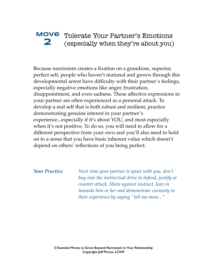### **Move**  Tolerate Your Partner's Emotions **2** (especially when they're about you)

Because narcissism creates a fixation on a grandiose, superior, perfect self, people who haven't matured and grown through this developmental arrest have difficulty with their partner's feelings, especially negative emotions like anger, frustration, disappointment, and even sadness. These affective expressions in your partner are often experienced as a personal attack. To develop a real self that is both robust and resilient, practice demonstrating genuine interest in your partner's experience...especially if it's about YOU, and most especially when it's not positive. To do so, you will need to allow for a different perspective from your own and you'll also need to hold on to a sense that you have basic inherent value which doesn't depend on others' reflections of you being perfect.

*Your Practice Next time your partner is upset with you, don't buy into the instinctual drive to defend, justify or counter attack. Move against instinct, lean in towards him or her and demonstrate curiosity in their experience by saying "tell me more..."*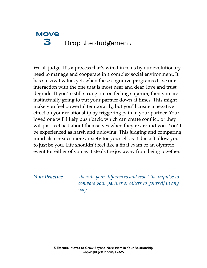### **Move 3** Drop the Judgement

We all judge. It's a process that's wired in to us by our evolutionary need to manage and cooperate in a complex social environment. It has survival value; yet, when these cognitive programs drive our interaction with the one that is most near and dear, love and trust degrade. If you're still strung out on feeling superior, then you are instinctually going to put your partner down at times. This might make you feel powerful temporarily, but you'll create a negative effect on your relationship by triggering pain in your partner. Your loved one will likely push back, which can create conflict, or they will just feel bad about themselves when they're around you. You'll be experienced as harsh and unloving. This judging and comparing mind also creates more anxiety for yourself as it doesn't allow you to just be you. Life shouldn't feel like a final exam or an olympic event for either of you as it steals the joy away from being together.

*Your Practice Tolerate your differences and resist the impulse to compare your partner or others to yourself in any way.*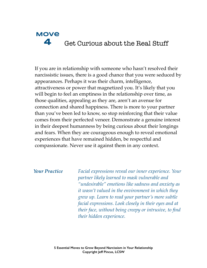### **Move 4** Get Curious about the Real Stuff

If you are in relationship with someone who hasn't resolved their narcissistic issues, there is a good chance that you were seduced by appearances. Perhaps it was their charm, intelligence, attractiveness or power that magnetized you. It's likely that you will begin to feel an emptiness in the relationship over time, as those qualities, appealing as they are, aren't an avenue for connection and shared happiness. There is more to your partner than you've been led to know, so stop reinforcing that their value comes from their perfected veneer. Demonstrate a genuine interest in their deepest humanness by being curious about their longings and fears. When they are courageous enough to reveal emotional experiences that have remained hidden, be respectful and compassionate. Never use it against them in any context.

*Your Practice Facial expressions reveal our inner experience. Your partner likely learned to mask vulnerable and "undesirable" emotions like sadness and anxiety as it wasn't valued in the environment in which they grew up. Learn to read your partner's more subtle facial expressions. Look closely in their eyes and at their face, without being creepy or intrusive, to find their hidden experience.*